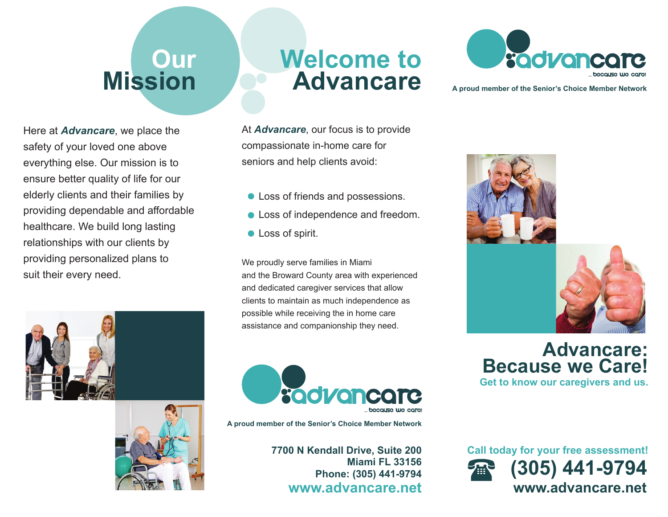## **Our Mission**

Here at *Advancare*, we place the safety of your loved one above everything else. Our mission is to ensure better quality of life for our elderly clients and their families by providing dependable and affordable healthcare. We build long lasting relationships with our clients by providing personalized plans to suit their every need.





## **Welcome toAdvancare**

At *Advancare*, our focus is to provide compassionate in-home care for seniors and help clients avoid:

- Loss of friends and possessions.
- **Loss of independence and freedom.**
- **Loss of spirit.**

We proudly serve families in Miami and the Broward County area with experienced and dedicated caregiver services that allow clients to maintain as much independence as possible while receiving the in home care assistance and companionship they need.



**A proud member of the Senior's Choice Member Network**

**7700 N Kendall Drive, Suite 200 Miami FL 33156Phone: (305) 441-9794 www.advancare.net**



**A proud member of the Senior's Choice Member Network**



**Advancare: Because we Care! Get to know our caregivers and us.**